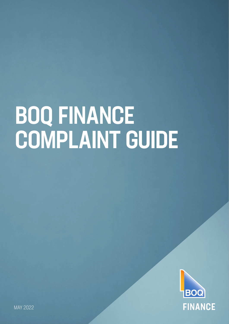# BOQ FINANCE COMPLAINT GUIDE

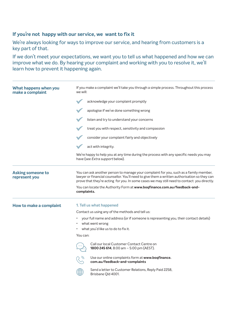# **If you're not happy with our service, we want to fix it**

We're always looking for ways to improve our service, and hearing from customers is a key part of that.

If we don't meet your expectations, we want you to tell us what happened and how we can improve what we do. By hearing your complaint and working with you to resolve it, we'll learn how to prevent it happening again.

| What happens when you<br>make a complaint | If you make a complaint we'll take you through a simple process. Throughout this process<br>we will:                                                                                                                                                                                 |
|-------------------------------------------|--------------------------------------------------------------------------------------------------------------------------------------------------------------------------------------------------------------------------------------------------------------------------------------|
|                                           | acknowledge your complaint promptly                                                                                                                                                                                                                                                  |
|                                           | apologise if we've done something wrong                                                                                                                                                                                                                                              |
|                                           | listen and try to understand your concerns                                                                                                                                                                                                                                           |
|                                           | treat you with respect, sensitivity and compassion                                                                                                                                                                                                                                   |
|                                           | consider your complaint fairly and objectively                                                                                                                                                                                                                                       |
|                                           | act with integrity.                                                                                                                                                                                                                                                                  |
|                                           | We're happy to help you at any time during the process with any specific needs you may<br>have (see Extra support below).                                                                                                                                                            |
| <b>Asking someone to</b><br>represent you | You can ask another person to manage your complaint for you, such as a family member,<br>lawyer or financial counsellor. You'll need to give them a written authorisation so they can<br>prove that they're acting for you. In some cases we may still need to contact you directly. |
|                                           | You can locate the Authority Form at www.boqfinance.com.au/feedback-and-<br>complaints.                                                                                                                                                                                              |
| How to make a complaint                   | 1. Tell us what happened                                                                                                                                                                                                                                                             |
|                                           | Contact us using any of the methods and tell us:                                                                                                                                                                                                                                     |
|                                           | your full name and address (or if someone is representing you, their contact details)                                                                                                                                                                                                |
|                                           | what went wrong                                                                                                                                                                                                                                                                      |
|                                           | what you'd like us to do to fix it.                                                                                                                                                                                                                                                  |
|                                           | You can:                                                                                                                                                                                                                                                                             |
|                                           | Call our local Customer Contact Centre on<br>1800 245 614, 8:00 am - 5:00 pm (AEST).                                                                                                                                                                                                 |
|                                           | Use our online complaints form at www.boqfinance.<br>com.au/feedback-and-complaints                                                                                                                                                                                                  |
|                                           | Send a letter to Customer Relations, Reply Paid 2258,<br>Brisbane Qld 4001.                                                                                                                                                                                                          |
|                                           |                                                                                                                                                                                                                                                                                      |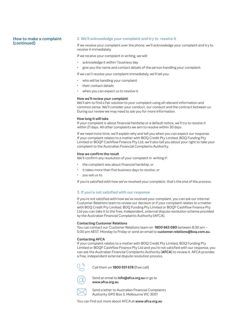### **How to make a complaint (continued)**

### **2. We'll acknowledge your complaint and try to resolve it**

If we receive your complaint over the phone, we'll acknowledge your complaint and try to resolve it immediately.

If we receive your complaint in writing, we will:

- acknowledge it within 1 business day
- give you the name and contact details of the person handling your complaint.

If we can't resolve your complaint immediately, we'll tell you:

- who will be handling your complaint
- their contact details
- when you can expect us to resolve it.

### **How we'll review your complaint**

We'll aim to find a fair solution to your complaint using all relevant information and common sense. We'll consider your conduct, our conduct and the contract between us. During our review we may need to ask you for more information.

### **How long it will take**

If your complaint is about financial hardship or a default notice, we'll try to resolve it within 21 days. All other complaints we aim to resolve within 30 days.

If we need more time, we'll explain why and tell you when you can expect our response. If your complaint relates to a matter with BOQ Credit Pty Limited, BOQ Funding Pty Limited or BOQF Cashflow Finance Pty Ltd, we'll also tell you about your right to take your complaint to the Australian Financial Complaints Authority.

### **How we confirm the result**

We'll confirm any resolution of your complaint in writing if:

- the complaint was about financial hardship, or
- it takes more than five business days to resolve, or
- you ask us to.

If you're satisfied with how we've resolved your complaint, that's the end of the process.

### **3. If you're not satisfied with our response**

If you're not satisfied with how we've resolved your complaint, you can ask our internal Customer Relations team to review our decision or if your complaint relates to a matter with BOQ Credit Pty Limited, BOQ Funding Pty Limited or BOQF Cashflow Finance Pty Ltd you can take it to the free, independent, external dispute resolution scheme provided by the Australian Financial Complaints Authority (AFCA).

### **Contacting Customer Relations**

You can contact our Customer Relations team on **1800 663 080** between 8:30 am – 5:00 pm AEST, Monday to Friday or send an email to **[customer.relations@boq.com.au](mailto:customer.relations%40boq.com.au?subject=).**

### **Contacting AFCA**

If your complaint relates to a matter with BOQ Credit Pty Limited, BOQ Funding Pty Limited or BOQF Cashflow Finance Pty Ltd and you're not satisfied with our response, you can ask the Australian Financial Complaints Authority (**AFCA**) to review it. AFCA provides a free, independent external dispute resolution process.



Call them on **1800 931 678** (free call)

Send an email to **[info@afca.org.au](mailto:%20info%40afca.org.au?subject=)** or go to **[www.afca.org.au](http://www.afca.org.au)** 

Send a letter to Australian Financial Complaints Authority GPO Box 3, Melbourne VIC 3001

You can find out more about AFCA at **[www.afca.org.au](http://www.afca.org.au)**